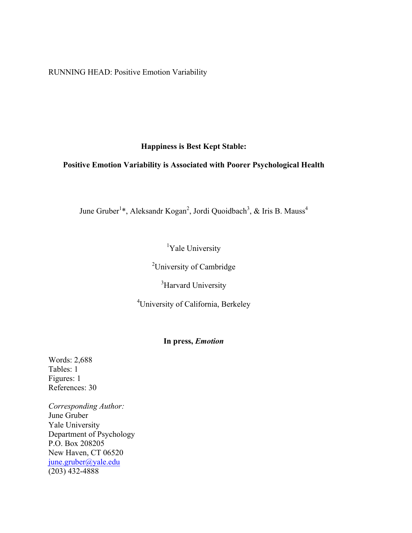RUNNING HEAD: Positive Emotion Variability

## **Happiness is Best Kept Stable:**

## **Positive Emotion Variability is Associated with Poorer Psychological Health**

June Gruber<sup>1\*</sup>, Aleksandr Kogan<sup>2</sup>, Jordi Quoidbach<sup>3</sup>, & Iris B. Mauss<sup>4</sup>

<sup>1</sup>Yale University

<sup>2</sup>University of Cambridge

<sup>3</sup>Harvard University

4 University of California, Berkeley

## **In press,** *Emotion*

Words: 2,688 Tables: 1 Figures: 1 References: 30

*Corresponding Author:* June Gruber Yale University Department of Psychology P.O. Box 208205 New Haven, CT 06520 june.gruber@yale.edu  $(203)$  432-4888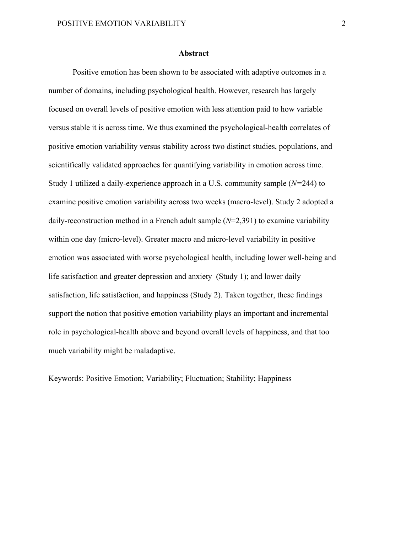## **Abstract**

Positive emotion has been shown to be associated with adaptive outcomes in a number of domains, including psychological health. However, research has largely focused on overall levels of positive emotion with less attention paid to how variable versus stable it is across time. We thus examined the psychological-health correlates of positive emotion variability versus stability across two distinct studies, populations, and scientifically validated approaches for quantifying variability in emotion across time. Study 1 utilized a daily-experience approach in a U.S. community sample (*N=*244) to examine positive emotion variability across two weeks (macro-level). Study 2 adopted a daily-reconstruction method in a French adult sample (*N*=2,391) to examine variability within one day (micro-level). Greater macro and micro-level variability in positive emotion was associated with worse psychological health, including lower well-being and life satisfaction and greater depression and anxiety (Study 1); and lower daily satisfaction, life satisfaction, and happiness (Study 2). Taken together, these findings support the notion that positive emotion variability plays an important and incremental role in psychological-health above and beyond overall levels of happiness, and that too much variability might be maladaptive.

Keywords: Positive Emotion; Variability; Fluctuation; Stability; Happiness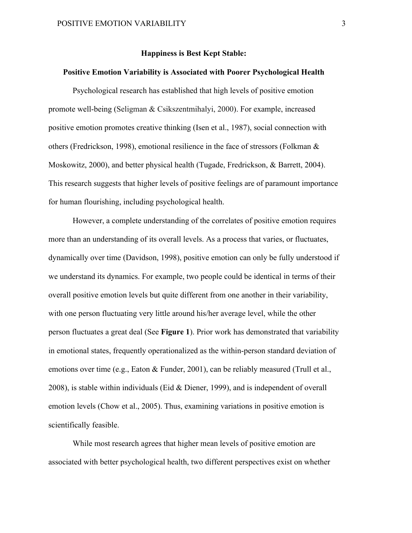## **Happiness is Best Kept Stable:**

## **Positive Emotion Variability is Associated with Poorer Psychological Health**

Psychological research has established that high levels of positive emotion promote well-being (Seligman & Csikszentmihalyi, 2000). For example, increased positive emotion promotes creative thinking (Isen et al., 1987), social connection with others (Fredrickson, 1998), emotional resilience in the face of stressors (Folkman & Moskowitz, 2000), and better physical health (Tugade, Fredrickson, & Barrett, 2004). This research suggests that higher levels of positive feelings are of paramount importance for human flourishing, including psychological health.

However, a complete understanding of the correlates of positive emotion requires more than an understanding of its overall levels. As a process that varies, or fluctuates, dynamically over time (Davidson, 1998), positive emotion can only be fully understood if we understand its dynamics. For example, two people could be identical in terms of their overall positive emotion levels but quite different from one another in their variability, with one person fluctuating very little around his/her average level, while the other person fluctuates a great deal (See **Figure 1**). Prior work has demonstrated that variability in emotional states, frequently operationalized as the within-person standard deviation of emotions over time (e.g., Eaton & Funder, 2001), can be reliably measured (Trull et al., 2008), is stable within individuals (Eid & Diener, 1999), and is independent of overall emotion levels (Chow et al., 2005). Thus, examining variations in positive emotion is scientifically feasible.

While most research agrees that higher mean levels of positive emotion are associated with better psychological health, two different perspectives exist on whether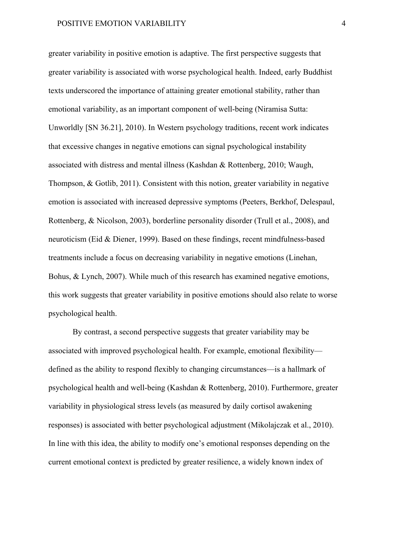greater variability in positive emotion is adaptive. The first perspective suggests that greater variability is associated with worse psychological health. Indeed, early Buddhist texts underscored the importance of attaining greater emotional stability, rather than emotional variability, as an important component of well-being (Niramisa Sutta: Unworldly [SN 36.21], 2010). In Western psychology traditions, recent work indicates that excessive changes in negative emotions can signal psychological instability associated with distress and mental illness (Kashdan & Rottenberg, 2010; Waugh, Thompson, & Gotlib, 2011). Consistent with this notion, greater variability in negative emotion is associated with increased depressive symptoms (Peeters, Berkhof, Delespaul, Rottenberg, & Nicolson, 2003), borderline personality disorder (Trull et al., 2008), and neuroticism (Eid & Diener, 1999). Based on these findings, recent mindfulness-based treatments include a focus on decreasing variability in negative emotions (Linehan, Bohus, & Lynch, 2007). While much of this research has examined negative emotions, this work suggests that greater variability in positive emotions should also relate to worse psychological health.

By contrast, a second perspective suggests that greater variability may be associated with improved psychological health. For example, emotional flexibility defined as the ability to respond flexibly to changing circumstances—is a hallmark of psychological health and well-being (Kashdan & Rottenberg, 2010). Furthermore, greater variability in physiological stress levels (as measured by daily cortisol awakening responses) is associated with better psychological adjustment (Mikolajczak et al., 2010). In line with this idea, the ability to modify one's emotional responses depending on the current emotional context is predicted by greater resilience, a widely known index of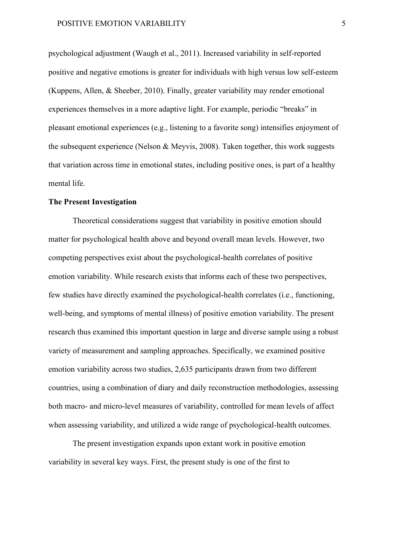psychological adjustment (Waugh et al., 2011). Increased variability in self-reported positive and negative emotions is greater for individuals with high versus low self-esteem (Kuppens, Allen, & Sheeber, 2010). Finally, greater variability may render emotional experiences themselves in a more adaptive light. For example, periodic "breaks" in pleasant emotional experiences (e.g., listening to a favorite song) intensifies enjoyment of the subsequent experience (Nelson & Meyvis, 2008). Taken together, this work suggests that variation across time in emotional states, including positive ones, is part of a healthy mental life.

## **The Present Investigation**

Theoretical considerations suggest that variability in positive emotion should matter for psychological health above and beyond overall mean levels. However, two competing perspectives exist about the psychological-health correlates of positive emotion variability. While research exists that informs each of these two perspectives, few studies have directly examined the psychological-health correlates (i.e., functioning, well-being, and symptoms of mental illness) of positive emotion variability. The present research thus examined this important question in large and diverse sample using a robust variety of measurement and sampling approaches. Specifically, we examined positive emotion variability across two studies, 2,635 participants drawn from two different countries, using a combination of diary and daily reconstruction methodologies, assessing both macro- and micro-level measures of variability, controlled for mean levels of affect when assessing variability, and utilized a wide range of psychological-health outcomes.

The present investigation expands upon extant work in positive emotion variability in several key ways. First, the present study is one of the first to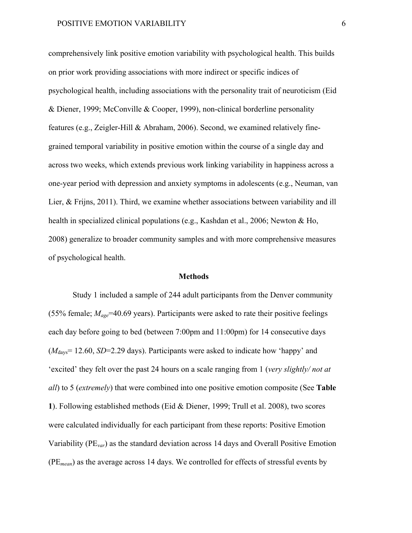comprehensively link positive emotion variability with psychological health. This builds on prior work providing associations with more indirect or specific indices of psychological health, including associations with the personality trait of neuroticism (Eid & Diener, 1999; McConville & Cooper, 1999), non-clinical borderline personality features (e.g., Zeigler-Hill & Abraham, 2006). Second, we examined relatively finegrained temporal variability in positive emotion within the course of a single day and across two weeks, which extends previous work linking variability in happiness across a one-year period with depression and anxiety symptoms in adolescents (e.g., Neuman, van Lier, & Frijns, 2011). Third, we examine whether associations between variability and ill health in specialized clinical populations (e.g., Kashdan et al., 2006; Newton & Ho, 2008) generalize to broader community samples and with more comprehensive measures of psychological health.

### **Methods**

Study 1 included a sample of 244 adult participants from the Denver community (55% female; *Mage*=40.69 years). Participants were asked to rate their positive feelings each day before going to bed (between 7:00pm and 11:00pm) for 14 consecutive days (*M*days= 12.60, *SD*=2.29 days). Participants were asked to indicate how 'happy' and 'excited' they felt over the past 24 hours on a scale ranging from 1 (*very slightly/ not at all*) to 5 (*extremely*) that were combined into one positive emotion composite (See **Table 1**). Following established methods (Eid & Diener, 1999; Trull et al. 2008), two scores were calculated individually for each participant from these reports: Positive Emotion Variability (PE*var*) as the standard deviation across 14 days and Overall Positive Emotion (PE*mean*) as the average across 14 days. We controlled for effects of stressful events by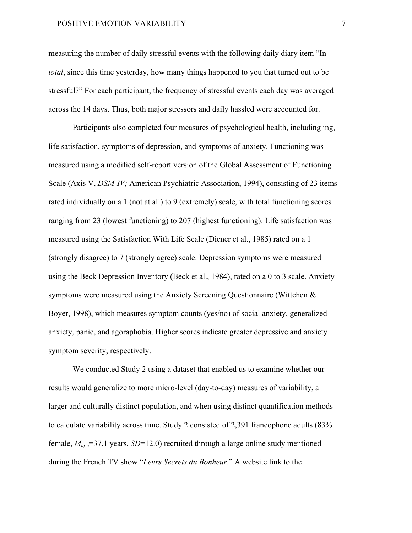## POSITIVE EMOTION VARIABILITY 7

measuring the number of daily stressful events with the following daily diary item "In *total*, since this time yesterday, how many things happened to you that turned out to be stressful?" For each participant, the frequency of stressful events each day was averaged across the 14 days. Thus, both major stressors and daily hassled were accounted for.

Participants also completed four measures of psychological health, including ing, life satisfaction, symptoms of depression, and symptoms of anxiety. Functioning was measured using a modified self-report version of the Global Assessment of Functioning Scale (Axis V, *DSM-IV;* American Psychiatric Association, 1994), consisting of 23 items rated individually on a 1 (not at all) to 9 (extremely) scale, with total functioning scores ranging from 23 (lowest functioning) to 207 (highest functioning). Life satisfaction was measured using the Satisfaction With Life Scale (Diener et al., 1985) rated on a 1 (strongly disagree) to 7 (strongly agree) scale. Depression symptoms were measured using the Beck Depression Inventory (Beck et al., 1984), rated on a 0 to 3 scale. Anxiety symptoms were measured using the Anxiety Screening Questionnaire (Wittchen & Boyer, 1998), which measures symptom counts (yes/no) of social anxiety, generalized anxiety, panic, and agoraphobia. Higher scores indicate greater depressive and anxiety symptom severity, respectively.

We conducted Study 2 using a dataset that enabled us to examine whether our results would generalize to more micro-level (day-to-day) measures of variability, a larger and culturally distinct population, and when using distinct quantification methods to calculate variability across time. Study 2 consisted of 2,391 francophone adults (83% female, *Mage*=37.1 years, *SD*=12.0) recruited through a large online study mentioned during the French TV show "*Leurs Secrets du Bonheur*." A website link to the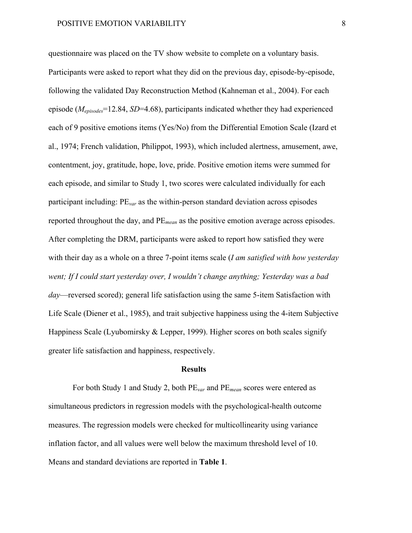questionnaire was placed on the TV show website to complete on a voluntary basis. Participants were asked to report what they did on the previous day, episode-by-episode, following the validated Day Reconstruction Method (Kahneman et al., 2004). For each episode (*Mepisodes*=12.84, *SD*=4.68), participants indicated whether they had experienced each of 9 positive emotions items (Yes/No) from the Differential Emotion Scale (Izard et al., 1974; French validation, Philippot, 1993), which included alertness, amusement, awe, contentment, joy, gratitude, hope, love, pride. Positive emotion items were summed for each episode, and similar to Study 1, two scores were calculated individually for each participant including: PE*var* as the within-person standard deviation across episodes reported throughout the day, and PE*mean* as the positive emotion average across episodes. After completing the DRM, participants were asked to report how satisfied they were with their day as a whole on a three 7-point items scale (*I am satisfied with how yesterday went; If I could start yesterday over, I wouldn't change anything; Yesterday was a bad day*—reversed scored); general life satisfaction using the same 5-item Satisfaction with Life Scale (Diener et al., 1985), and trait subjective happiness using the 4-item Subjective Happiness Scale (Lyubomirsky & Lepper, 1999). Higher scores on both scales signify greater life satisfaction and happiness, respectively.

#### **Results**

For both Study 1 and Study 2, both PE*var* and PE*mean* scores were entered as simultaneous predictors in regression models with the psychological-health outcome measures. The regression models were checked for multicollinearity using variance inflation factor, and all values were well below the maximum threshold level of 10. Means and standard deviations are reported in **Table 1**.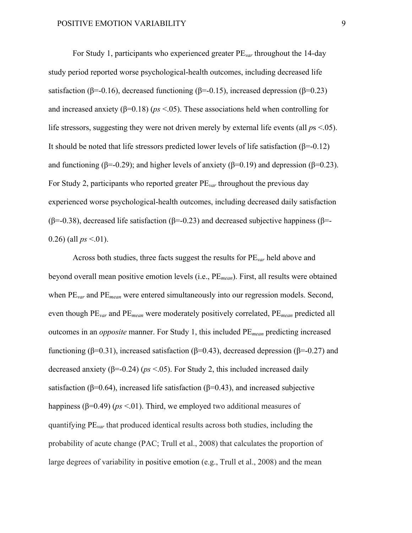For Study 1, participants who experienced greater PE*var* throughout the 14-day study period reported worse psychological-health outcomes, including decreased life satisfaction ( $\beta$ =-0.16), decreased functioning ( $\beta$ =-0.15), increased depression ( $\beta$ =0.23) and increased anxiety ( $\beta$ =0.18) ( $\beta$ s <.05). These associations held when controlling for life stressors, suggesting they were not driven merely by external life events (all *p*s <.05). It should be noted that life stressors predicted lower levels of life satisfaction  $(\beta = 0.12)$ and functioning ( $\beta$ =-0.29); and higher levels of anxiety ( $\beta$ =0.19) and depression ( $\beta$ =0.23). For Study 2, participants who reported greater PE*var* throughout the previous day experienced worse psychological-health outcomes, including decreased daily satisfaction (β=-0.38), decreased life satisfaction (β=-0.23) and decreased subjective happiness (β=-0.26) (all  $ps < 01$ ).

Across both studies, three facts suggest the results for PE*var* held above and beyond overall mean positive emotion levels (i.e., PE*mean*). First, all results were obtained when PE*var* and PE*mean* were entered simultaneously into our regression models. Second, even though PE*var* and PE*mean* were moderately positively correlated, PE*mean* predicted all outcomes in an *opposite* manner. For Study 1, this included PE*mean* predicting increased functioning (β=0.31), increased satisfaction (β=0.43), decreased depression (β=-0.27) and decreased anxiety ( $\beta$ =-0.24) ( $ps$  <.05). For Study 2, this included increased daily satisfaction ( $\beta$ =0.64), increased life satisfaction ( $\beta$ =0.43), and increased subjective happiness ( $\beta$ =0.49) ( $ps$  <.01). Third, we employed two additional measures of quantifying PE*var* that produced identical results across both studies, including the probability of acute change (PAC; Trull et al., 2008) that calculates the proportion of large degrees of variability in positive emotion (e.g., Trull et al., 2008) and the mean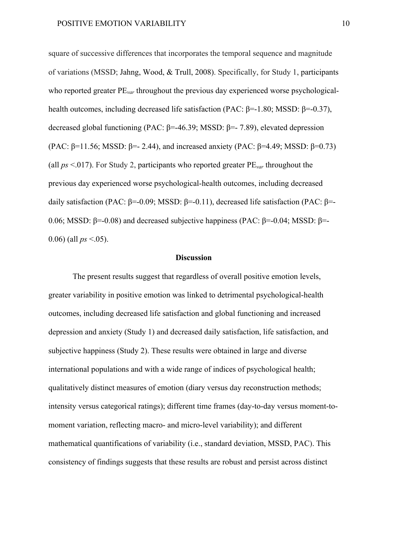square of successive differences that incorporates the temporal sequence and magnitude of variations (MSSD; Jahng, Wood, & Trull, 2008). Specifically, for Study 1, participants who reported greater  $PE_{var}$  throughout the previous day experienced worse psychologicalhealth outcomes, including decreased life satisfaction (PAC: β=-1.80; MSSD: β=-0.37), decreased global functioning (PAC:  $\beta$ =-46.39; MSSD:  $\beta$ =-7.89), elevated depression (PAC:  $\beta$ =11.56; MSSD:  $\beta$ =- 2.44), and increased anxiety (PAC:  $\beta$ =4.49; MSSD:  $\beta$ =0.73) (all *ps* <.017). For Study 2, participants who reported greater PE*var* throughout the previous day experienced worse psychological-health outcomes, including decreased daily satisfaction (PAC: β=-0.09; MSSD: β=-0.11), decreased life satisfaction (PAC: β=-0.06; MSSD: β=-0.08) and decreased subjective happiness (PAC: β=-0.04; MSSD: β=-0.06) (all  $ps < .05$ ).

### **Discussion**

The present results suggest that regardless of overall positive emotion levels, greater variability in positive emotion was linked to detrimental psychological-health outcomes, including decreased life satisfaction and global functioning and increased depression and anxiety (Study 1) and decreased daily satisfaction, life satisfaction, and subjective happiness (Study 2). These results were obtained in large and diverse international populations and with a wide range of indices of psychological health; qualitatively distinct measures of emotion (diary versus day reconstruction methods; intensity versus categorical ratings); different time frames (day-to-day versus moment-tomoment variation, reflecting macro- and micro-level variability); and different mathematical quantifications of variability (i.e., standard deviation, MSSD, PAC). This consistency of findings suggests that these results are robust and persist across distinct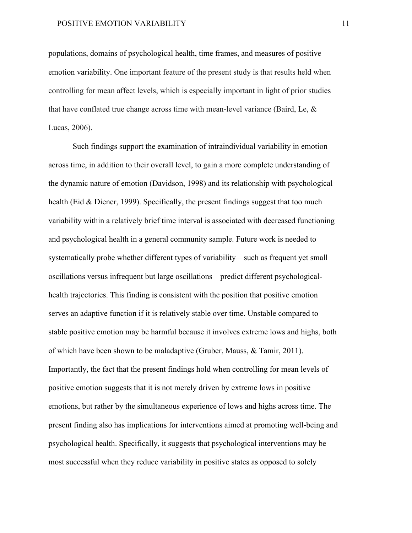populations, domains of psychological health, time frames, and measures of positive emotion variability. One important feature of the present study is that results held when controlling for mean affect levels, which is especially important in light of prior studies that have conflated true change across time with mean-level variance (Baird, Le, & Lucas, 2006).

Such findings support the examination of intraindividual variability in emotion across time, in addition to their overall level, to gain a more complete understanding of the dynamic nature of emotion (Davidson, 1998) and its relationship with psychological health (Eid & Diener, 1999). Specifically, the present findings suggest that too much variability within a relatively brief time interval is associated with decreased functioning and psychological health in a general community sample. Future work is needed to systematically probe whether different types of variability—such as frequent yet small oscillations versus infrequent but large oscillations—predict different psychologicalhealth trajectories. This finding is consistent with the position that positive emotion serves an adaptive function if it is relatively stable over time. Unstable compared to stable positive emotion may be harmful because it involves extreme lows and highs, both of which have been shown to be maladaptive (Gruber, Mauss, & Tamir, 2011). Importantly, the fact that the present findings hold when controlling for mean levels of positive emotion suggests that it is not merely driven by extreme lows in positive emotions, but rather by the simultaneous experience of lows and highs across time. The present finding also has implications for interventions aimed at promoting well-being and psychological health. Specifically, it suggests that psychological interventions may be most successful when they reduce variability in positive states as opposed to solely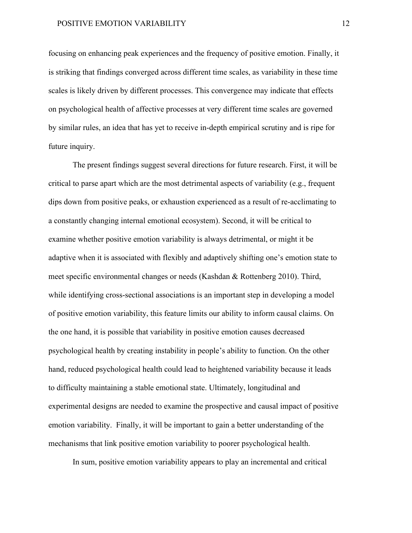## POSITIVE EMOTION VARIABILITY 12

focusing on enhancing peak experiences and the frequency of positive emotion. Finally, it is striking that findings converged across different time scales, as variability in these time scales is likely driven by different processes. This convergence may indicate that effects on psychological health of affective processes at very different time scales are governed by similar rules, an idea that has yet to receive in-depth empirical scrutiny and is ripe for future inquiry.

The present findings suggest several directions for future research. First, it will be critical to parse apart which are the most detrimental aspects of variability (e.g., frequent dips down from positive peaks, or exhaustion experienced as a result of re-acclimating to a constantly changing internal emotional ecosystem). Second, it will be critical to examine whether positive emotion variability is always detrimental, or might it be adaptive when it is associated with flexibly and adaptively shifting one's emotion state to meet specific environmental changes or needs (Kashdan & Rottenberg 2010). Third, while identifying cross-sectional associations is an important step in developing a model of positive emotion variability, this feature limits our ability to inform causal claims. On the one hand, it is possible that variability in positive emotion causes decreased psychological health by creating instability in people's ability to function. On the other hand, reduced psychological health could lead to heightened variability because it leads to difficulty maintaining a stable emotional state. Ultimately, longitudinal and experimental designs are needed to examine the prospective and causal impact of positive emotion variability. Finally, it will be important to gain a better understanding of the mechanisms that link positive emotion variability to poorer psychological health.

In sum, positive emotion variability appears to play an incremental and critical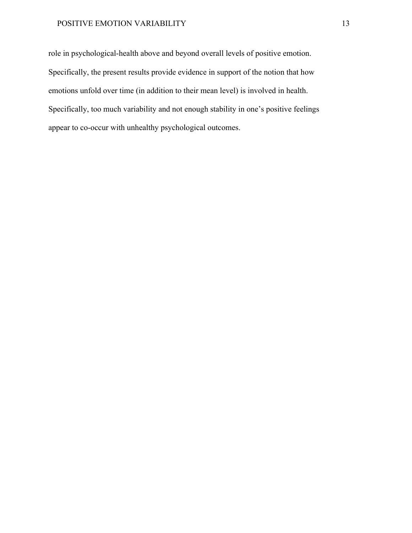## POSITIVE EMOTION VARIABILITY 13

role in psychological-health above and beyond overall levels of positive emotion. Specifically, the present results provide evidence in support of the notion that how emotions unfold over time (in addition to their mean level) is involved in health. Specifically, too much variability and not enough stability in one's positive feelings appear to co-occur with unhealthy psychological outcomes.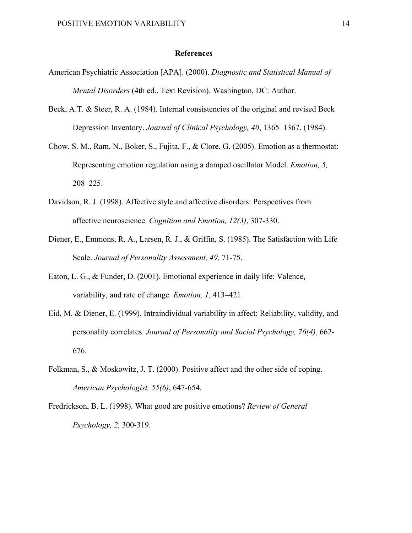## **References**

- American Psychiatric Association [APA]. (2000). *Diagnostic and Statistical Manual of Mental Disorders* (4th ed., Text Revision). Washington, DC: Author.
- Beck, A.T. & Steer, R. A. (1984). Internal consistencies of the original and revised Beck Depression Inventory. *Journal of Clinical Psychology, 40*, 1365–1367. (1984).
- Chow, S. M., Ram, N., Boker, S., Fujita, F., & Clore, G. (2005). Emotion as a thermostat: Representing emotion regulation using a damped oscillator Model. *Emotion, 5,* 208–225.
- Davidson, R. J. (1998). Affective style and affective disorders: Perspectives from affective neuroscience. *Cognition and Emotion, 12(3)*, 307-330.
- Diener, E., Emmons, R. A., Larsen, R. J., & Griffin, S. (1985). The Satisfaction with Life Scale. *Journal of Personality Assessment, 49,* 71-75.
- Eaton, L. G., & Funder, D. (2001). Emotional experience in daily life: Valence, variability, and rate of change*. Emotion, 1*, 413–421.
- Eid, M. & Diener, E. (1999). Intraindividual variability in affect: Reliability, validity, and personality correlates. *Journal of Personality and Social Psychology, 76(4)*, 662- 676.
- Folkman, S., & Moskowitz, J. T. (2000). Positive affect and the other side of coping. *American Psychologist, 55(6)*, 647-654.
- Fredrickson, B. L. (1998). What good are positive emotions? *Review of General Psychology, 2,* 300-319.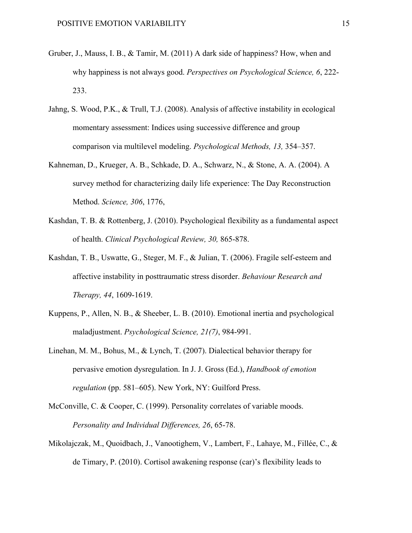- Gruber, J., Mauss, I. B., & Tamir, M. (2011) A dark side of happiness? How, when and why happiness is not always good. *Perspectives on Psychological Science, 6*, 222- 233.
- Jahng, S. Wood, P.K., & Trull, T.J. (2008). Analysis of affective instability in ecological momentary assessment: Indices using successive difference and group comparison via multilevel modeling. *Psychological Methods, 13,* 354–357.
- Kahneman, D., Krueger, A. B., Schkade, D. A., Schwarz, N., & Stone, A. A. (2004). A survey method for characterizing daily life experience: The Day Reconstruction Method. *Science, 306*, 1776,
- Kashdan, T. B. & Rottenberg, J. (2010). Psychological flexibility as a fundamental aspect of health. *Clinical Psychological Review, 30,* 865-878.
- Kashdan, T. B., Uswatte, G., Steger, M. F., & Julian, T. (2006). Fragile self-esteem and affective instability in posttraumatic stress disorder. *Behaviour Research and Therapy, 44*, 1609-1619.
- Kuppens, P., Allen, N. B., & Sheeber, L. B. (2010). Emotional inertia and psychological maladjustment. *Psychological Science, 21(7)*, 984-991.
- Linehan, M. M., Bohus, M., & Lynch, T. (2007). Dialectical behavior therapy for pervasive emotion dysregulation. In J. J. Gross (Ed.), *Handbook of emotion regulation* (pp. 581–605). New York, NY: Guilford Press.
- McConville, C. & Cooper, C. (1999). Personality correlates of variable moods. *Personality and Individual Differences, 26*, 65-78.
- Mikolajczak, M., Quoidbach, J., Vanootighem, V., Lambert, F., Lahaye, M., Fillée, C., & de Timary, P. (2010). Cortisol awakening response (car)'s flexibility leads to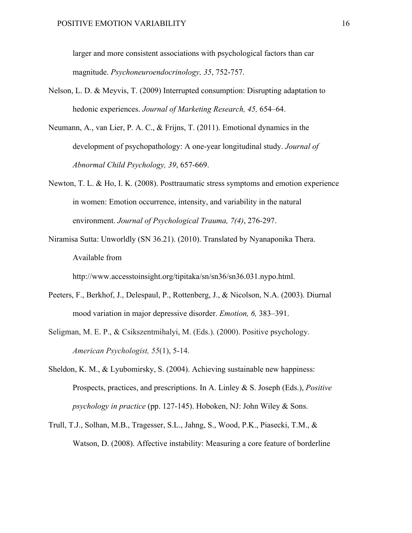larger and more consistent associations with psychological factors than car magnitude. *Psychoneuroendocrinology, 35*, 752-757.

- Nelson, L. D. & Meyvis, T. (2009) Interrupted consumption: Disrupting adaptation to hedonic experiences. *Journal of Marketing Research, 45,* 654–64.
- Neumann, A., van Lier, P. A. C., & Frijns, T. (2011). Emotional dynamics in the development of psychopathology: A one-year longitudinal study. *Journal of Abnormal Child Psychology, 39*, 657-669.
- Newton, T. L. & Ho, I. K. (2008). Posttraumatic stress symptoms and emotion experience in women: Emotion occurrence, intensity, and variability in the natural environment. *Journal of Psychological Trauma, 7(4)*, 276-297.
- Niramisa Sutta: Unworldly (SN 36.21). (2010). Translated by Nyanaponika Thera. Available from

http://www.accesstoinsight.org/tipitaka/sn/sn36/sn36.031.nypo.html.

- Peeters, F., Berkhof, J., Delespaul, P., Rottenberg, J., & Nicolson, N.A. (2003). Diurnal mood variation in major depressive disorder. *Emotion, 6,* 383–391.
- Seligman, M. E. P., & Csikszentmihalyi, M. (Eds.). (2000). Positive psychology. *American Psychologist, 55*(1), 5-14.
- Sheldon, K. M., & Lyubomirsky, S. (2004). Achieving sustainable new happiness: Prospects, practices, and prescriptions. In A. Linley & S. Joseph (Eds.), *Positive psychology in practice* (pp. 127-145). Hoboken, NJ: John Wiley & Sons.
- Trull, T.J., Solhan, M.B., Tragesser, S.L., Jahng, S., Wood, P.K., Piasecki, T.M., & Watson, D. (2008). Affective instability: Measuring a core feature of borderline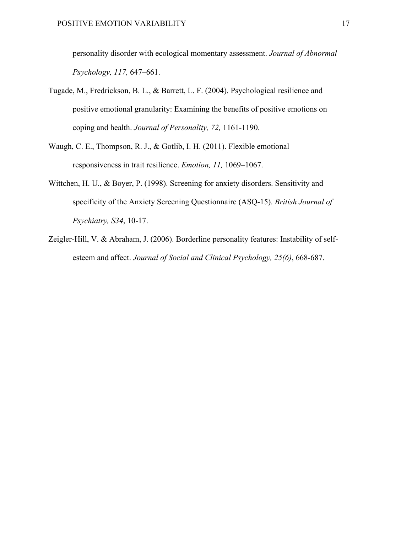personality disorder with ecological momentary assessment. *Journal of Abnormal Psychology, 117,* 647–661.

- Tugade, M., Fredrickson, B. L., & Barrett, L. F. (2004). Psychological resilience and positive emotional granularity: Examining the benefits of positive emotions on coping and health. *Journal of Personality, 72,* 1161-1190.
- Waugh, C. E., Thompson, R. J., & Gotlib, I. H. (2011). Flexible emotional responsiveness in trait resilience. *Emotion, 11,* 1069–1067.
- Wittchen, H. U., & Boyer, P. (1998). Screening for anxiety disorders. Sensitivity and specificity of the Anxiety Screening Questionnaire (ASQ-15). *British Journal of Psychiatry, S34*, 10-17.
- Zeigler-Hill, V. & Abraham, J. (2006). Borderline personality features: Instability of selfesteem and affect. *Journal of Social and Clinical Psychology, 25(6)*, 668-687.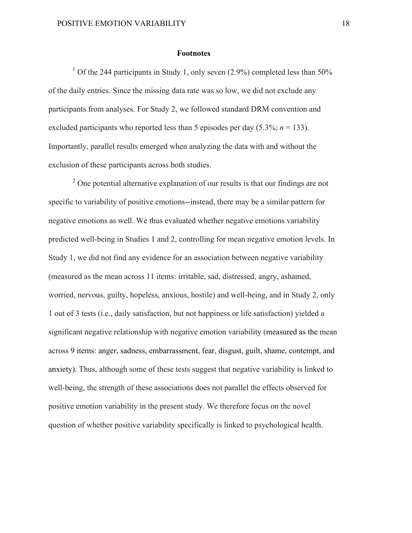#### **Footnotes**

<sup>1</sup> Of the 244 participants in Study 1, only seven  $(2.9\%)$  completed less than 50% of the daily entries. Since the missing data rate was so low, we did not exclude any participants from analyses. For Study 2, we followed standard DRM convention and excluded participants who reported less than 5 episodes per day  $(5.3\%; n = 133)$ . Importantly, parallel results emerged when analyzing the data with and without the exclusion of these participants across both studies.

<sup>2</sup> One potential alternative explanation of our results is that our findings are not specific to variability of positive emotions--instead, there may be a similar pattern for negative emotions as well. We thus evaluated whether negative emotions variability predicted well-being in Studies 1 and 2, controlling for mean negative emotion levels. In Study 1, we did not find any evidence for an association between negative variability (measured as the mean across 11 items: irritable, sad, distressed, angry, ashamed, worried, nervous, guilty, hopeless, anxious, hostile) and well-being, and in Study 2, only 1 out of 3 tests (i.e., daily satisfaction, but not happiness or life satisfaction) yielded a significant negative relationship with negative emotion variability (measured as the mean across 9 items: anger, sadness, embarrassment, fear, disgust, guilt, shame, contempt, and anxiety). Thus, although some of these tests suggest that negative variability is linked to well-being, the strength of these associations does not parallel the effects observed for positive emotion variability in the present study. We therefore focus on the novel question of whether positive variability specifically is linked to psychological health.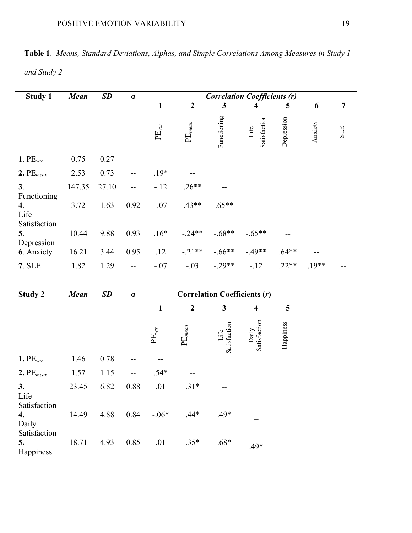| <b>Table 1.</b> Means, Standard Deviations, Alphas, and Simple Correlations Among Measures in Study 1 |  |
|-------------------------------------------------------------------------------------------------------|--|
| and Study 2                                                                                           |  |

| <b>Study 1</b>                            | <b>Mean</b> | SD    | $\pmb{\alpha}$                                | <b>Correlation Coefficients (r)</b> |                               |                      |                         |            |         |                |  |
|-------------------------------------------|-------------|-------|-----------------------------------------------|-------------------------------------|-------------------------------|----------------------|-------------------------|------------|---------|----------------|--|
|                                           |             |       |                                               | $\mathbf{1}$                        | $\overline{2}$                | $\mathbf{3}$         | $\overline{\mathbf{4}}$ | 5          | 6       | $\overline{7}$ |  |
|                                           |             |       |                                               | $\mathrm{PE}_{var}$                 | $\mathrm{PE}_{mean}$          | Functioning          | Satisfaction<br>Life    | Depression | Anxiety | <b>SLE</b>     |  |
| 1. PE <sub>var</sub>                      | 0.75        | 0.27  |                                               | $-$                                 |                               |                      |                         |            |         |                |  |
| $2.PE_{mean}$                             | 2.53        | 0.73  |                                               | $.19*$                              |                               |                      |                         |            |         |                |  |
| 3 <sub>1</sub>                            | 147.35      | 27.10 |                                               | $-.12$                              | $.26**$                       |                      |                         |            |         |                |  |
| Functioning<br>$\boldsymbol{4}$ .<br>Life | 3.72        | 1.63  | 0.92                                          | $-.07$                              | $.43**$                       | $.65**$              |                         |            |         |                |  |
| Satisfaction<br>5.<br>Depression          | 10.44       | 9.88  | 0.93                                          | $.16*$                              | $-.24**$                      | $-.68**$             | $-.65**$                |            |         |                |  |
| 6. Anxiety                                | 16.21       | 3.44  | 0.95                                          | .12                                 | $-.21**$                      | $-.66**$             | $-49**$                 | $.64**$    |         |                |  |
| 7. SLE                                    | 1.82        | 1.29  | $\mathord{\hspace{1pt}\text{--}\hspace{1pt}}$ | $-.07$                              | $-.03$                        | $-.29**$             | $-12$                   | $.22**$    | $.19**$ |                |  |
|                                           |             |       |                                               |                                     |                               |                      |                         |            |         |                |  |
| <b>Study 2</b>                            | <b>Mean</b> | SD    | $\alpha$                                      | <b>Correlation Coefficients (r)</b> |                               |                      |                         |            |         |                |  |
|                                           |             |       |                                               | $\mathbf{1}$                        | $\boldsymbol{2}$              | $\mathbf{3}$         | $\overline{\mathbf{4}}$ | 5          |         |                |  |
|                                           |             |       |                                               | $\mathrm{PE}_{var}$                 | $\mathrm{P}\mathrm{E}_{mean}$ | Satisfaction<br>Life | Satisfaction<br>Daily   | Happiness  |         |                |  |
| 1. $PE_{var}$                             | 1.46        | 0.78  | --                                            | $-$                                 |                               |                      |                         |            |         |                |  |
| $2.PE_{mean}$                             | 1.57        | 1.15  | --                                            | $.54*$                              |                               |                      |                         |            |         |                |  |
| 3.                                        | 23.45       | 6.82  | 0.88                                          | .01                                 | $.31*$                        |                      |                         |            |         |                |  |
| Life<br>Satisfaction<br>4.<br>Daily       | 14.49       | 4.88  | 0.84                                          | $-06*$                              | $.44*$                        | $.49*$               | --                      |            |         |                |  |
| Satisfaction<br>5.<br>Happiness           | 18.71       | 4.93  | 0.85                                          | .01                                 | $.35*$                        | $.68*$               | .49*                    | $- -$      |         |                |  |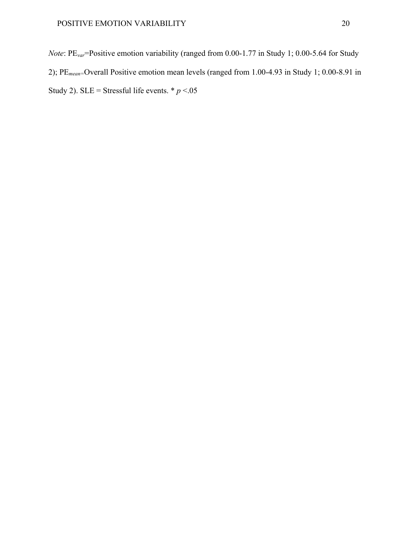*Note*: PE<sub>var</sub>=Positive emotion variability (ranged from 0.00-1.77 in Study 1; 0.00-5.64 for Study 2); PE*mean=*Overall Positive emotion mean levels (ranged from 1.00-4.93 in Study 1; 0.00-8.91 in Study 2). SLE = Stressful life events.  $* p < 0.05$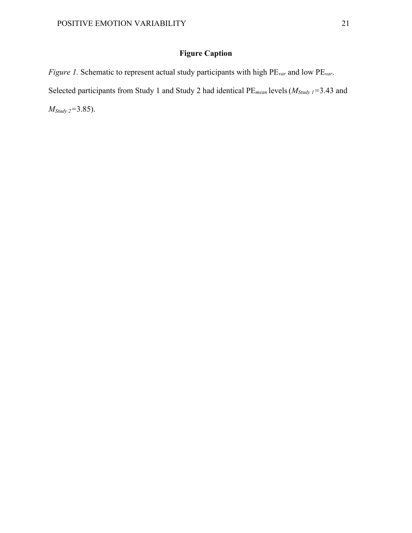# **Figure Caption**

*Figure 1.* Schematic to represent actual study participants with high PE*var* and low PE*var*. Selected participants from Study 1 and Study 2 had identical PE*mean* levels(*MStudy 1=*3.43 and *MStudy 2=*3.85).